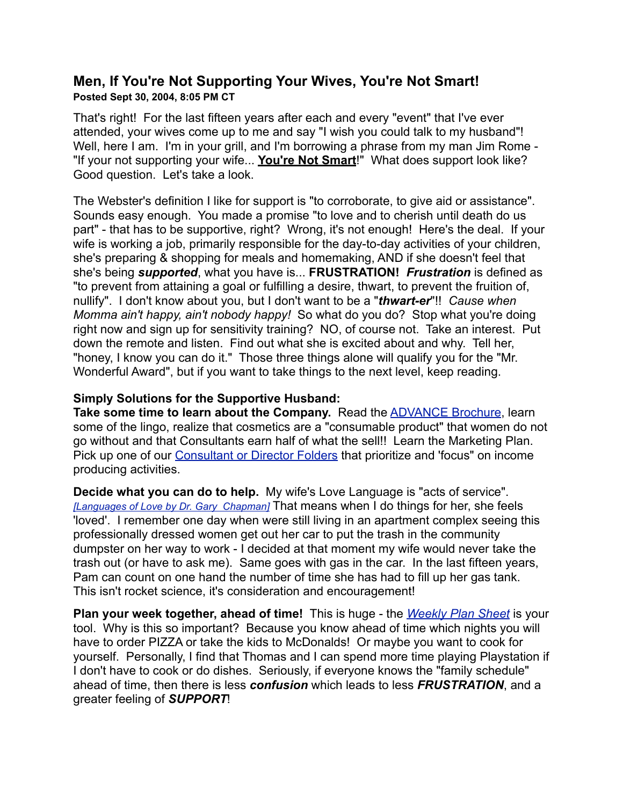## **Men, If You're Not Supporting Your Wives, You're Not Smart! Posted Sept 30, 2004, 8:05 PM CT**

That's right! For the last fifteen years after each and every "event" that I've ever attended, your wives come up to me and say "I wish you could talk to my husband"! Well, here I am. I'm in your grill, and I'm borrowing a phrase from my man Jim Rome -"If your not supporting your wife... **You're Not Smart**!" What does support look like? Good question. Let's take a look.

The Webster's definition I like for support is "to corroborate, to give aid or assistance". Sounds easy enough. You made a promise "to love and to cherish until death do us part" - that has to be supportive, right? Wrong, it's not enough! Here's the deal. If your wife is working a job, primarily responsible for the day-to-day activities of your children, she's preparing & shopping for meals and homemaking, AND if she doesn't feel that she's being *supported*, what you have is... **FRUSTRATION!** *Frustration* is defined as "to prevent from attaining a goal or fulfilling a desire, thwart, to prevent the fruition of, nullify". I don't know about you, but I don't want to be a "*thwart-er*"!! *Cause when Momma ain't happy, ain't nobody happy!* So what do you do? Stop what you're doing right now and sign up for sensitivity training? NO, of course not. Take an interest. Put down the remote and listen. Find out what she is excited about and why. Tell her, "honey, I know you can do it." Those three things alone will qualify you for the "Mr. Wonderful Award", but if you want to take things to the next level, keep reading.

## **Simply Solutions for the Supportive Husband:**

**Take some time to learn about the Company.** Read the **ADVANCE Brochure**, learn some of the lingo, realize that cosmetics are a "consumable product" that women do not go without and that Consultants earn half of what the sell!! Learn the Marketing Plan. Pick up one of our [Consultant or Director Folders](http://www.pamelashaw.com/N2designingYourLifeProducts.html) that prioritize and 'focus" on income producing activities.

**Decide what you can do to help.** My wife's Love Language is "acts of service". *[\[Languages of Love by Dr. Gary Chapman\]](http://www.moodypublishers.org/promo/garychapman/start.html)* That means when I do things for her, she feels 'loved'. I remember one day when were still living in an apartment complex seeing this professionally dressed women get out her car to put the trash in the community dumpster on her way to work - I decided at that moment my wife would never take the trash out (or have to ask me). Same goes with gas in the car. In the last fifteen years, Pam can count on one hand the number of time she has had to fill up her gas tank. This isn't rocket science, it's consideration and encouragement!

**Plan your week together, ahead of time!** This is huge - the *[Weekly Plan Sheet](http://www.pamelashaw.com/jerry/Web%20Update/WeeklyPlanSheetPam.pdf)* is your tool. Why is this so important? Because you know ahead of time which nights you will have to order PIZZA or take the kids to McDonalds! Or maybe you want to cook for yourself. Personally, I find that Thomas and I can spend more time playing Playstation if I don't have to cook or do dishes. Seriously, if everyone knows the "family schedule" ahead of time, then there is less *confusion* which leads to less *FRUSTRATION*, and a greater feeling of *SUPPORT*!